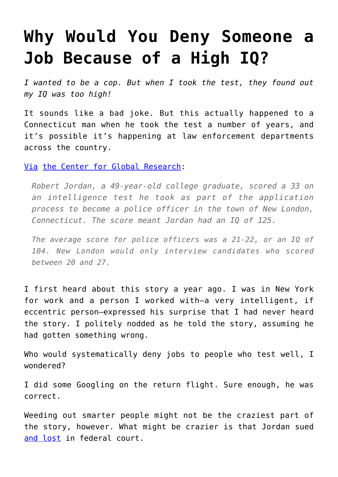## **[Why Would You Deny Someone a](https://intellectualtakeout.org/2016/05/why-would-you-deny-someone-a-job-because-of-a-high-iq/) [Job Because of a High IQ?](https://intellectualtakeout.org/2016/05/why-would-you-deny-someone-a-job-because-of-a-high-iq/)**

*I wanted to be a cop. But when I took the test, they found out my IQ was too high!*

It sounds like a bad joke. But this actually happened to a Connecticut man when he took the test a number of years, and it's possible it's happening at law enforcement departments across the country.

[Via](http://www.globalresearch.ca/us-court-ruled-you-can-be-too-smart-to-be-a-cop/5420630) [the Center for Global Research:](http://www.globalresearch.ca/us-court-ruled-you-can-be-too-smart-to-be-a-cop/5420630)

*Robert Jordan, a 49-year-old college graduate, scored a 33 on an intelligence test he took as part of the application process to become a police officer in the town of New London, Connecticut. The score meant Jordan had an IQ of 125.* 

*The average score for police officers was a 21-22, or an IQ of 104. New London would only interview candidates who scored between 20 and 27.*

I first heard about this story a year ago. I was in New York for work and a person I worked with—a very intelligent, if eccentric person—expressed his surprise that I had never heard the story. I politely nodded as he told the story, assuming he had gotten something wrong.

Who would systematically deny jobs to people who test well, I wondered?

I did some Googling on the return flight. Sure enough, he was correct.

Weeding out smarter people might not be the craziest part of the story, however. What might be crazier is that Jordan sued [and lost](http://abcnews.go.com/US/court-oks-barring-high-iqs-cops/story?id=95836) in federal court.